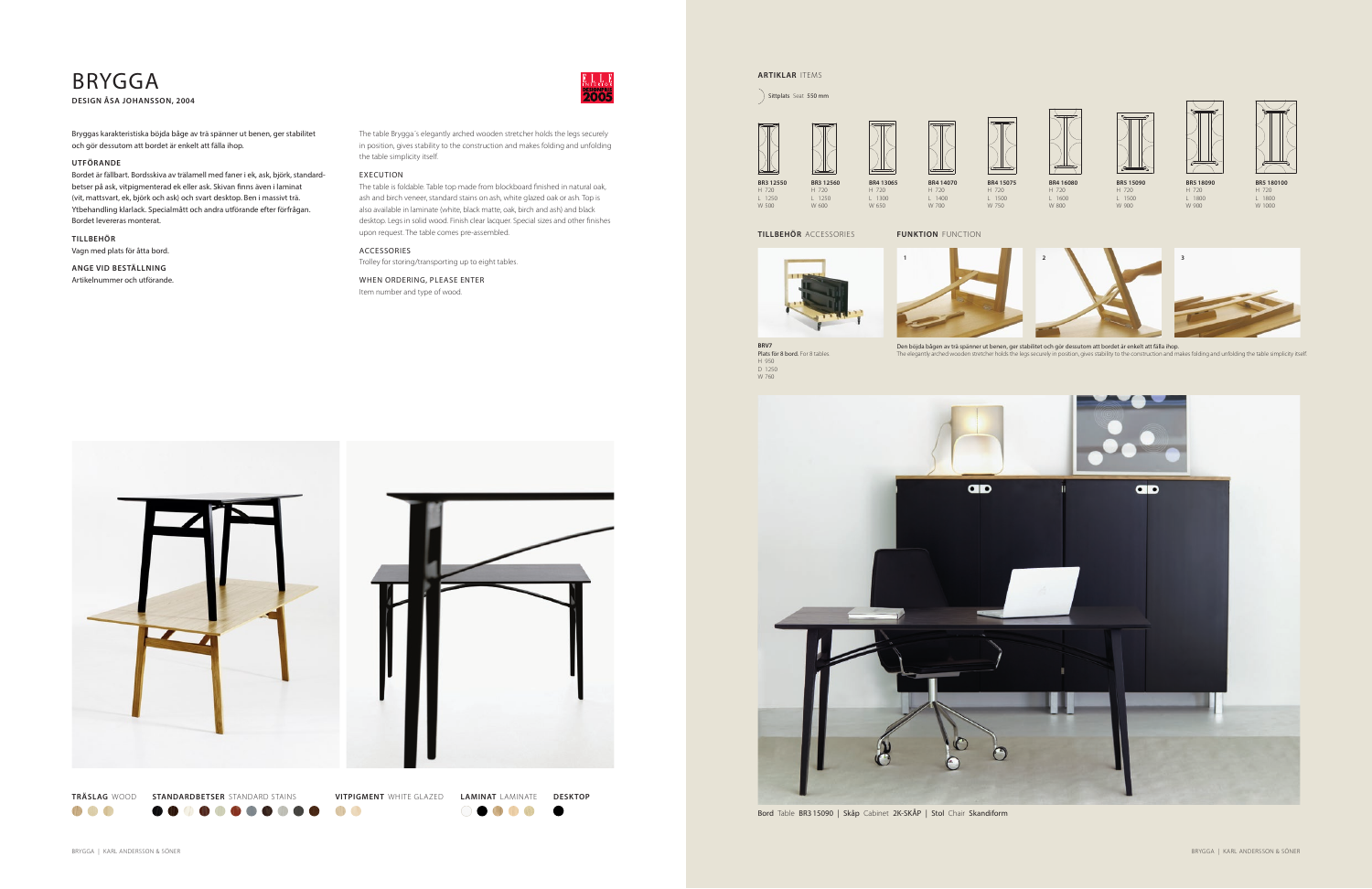**BR4 15075** H 720

L 1500 W 750

W 700





**BRV7<br>Plats för 8 bord.** For 8 tables.<br>H 950<br>D 1250<br>W 760



Bord Table BR315090 | Skåp Cabinet 2K-SKÅP | Stol Chair Skandiform



Den böjda bågen av trä spänner ut benen, ger stabilitet och gör dessutom att bordet är enkelt att fälla ihop.<br>The elegantiv arched wooden stretcher holds the legs securely in position, gives stability to the construction a ed wooden stretcher holds the legs securely in position, gives stability to the construction and makes folding and unfolding the table simplicity itself.

**BR4 14070** H 720  $L_{1400}$ **BR4 13065** H 720 L 1300

W 650

# **ARTIKLAR** ITEMS

Sittplats Seat 550 mm

 $\geq$ **BR3 12550 BR3 12560** H 720 H 720 L 1250 W 500  $L$  1250  $W = 600$ 

**TILLBEHÖR** ACCESSORIES

**FUNKTION** FUNCTION

# BRYGGA

**DESIGN ÅSA JOHANSSON, 2004**

The table Brygga´s elegantly arched wooden stretcher holds the legs securely in position, gives stability to the construction and makes folding and unfolding the table simplicity itself.

#### EXECUTION

The table is foldable. Table top made from blockboard finished in natural oak, ash and birch veneer, standard stains on ash, white glazed oak or ash. Top is also available in laminate (white, black matte, oak, birch and ash) and black desktop. Legs in solid wood. Finish clear lacquer. Special sizes and other finishes upon request. The table comes pre-assembled.

## ACCESSORIES

Trolley for storing/transporting up to eight tables.

WHEN ORDERING, PLEASE ENTER Item number and type of wood.

Bryggas karakteristiska böjda båge av trä spänner ut benen, ger stabilitet och gör dessutom att bordet är enkelt att fälla ihop.

### **UTFÖRANDE**

Bordet är fällbart. Bordsskiva av trälamell med faner i ek, ask, björk, standardbetser på ask, vitpigmenterad ek eller ask. Skivan finns även i laminat (vit, mattsvart, ek, björk och ask) och svart desktop. Ben i massivt trä. Ytbehandling klarlack. Specialmått och andra utförande efter förfrågan. Bordet levereras monterat.

**TILLBEHÖR** Vagn med plats för åtta bord.

**ANGE VID BESTÄLLNING**  Artikelnummer och utförande.





 $\bullet$   $\bullet$  $\bullet$ 

000  $\bullet\bullet\bullet\bullet$  $\blacksquare$ 

00

 $\bullet$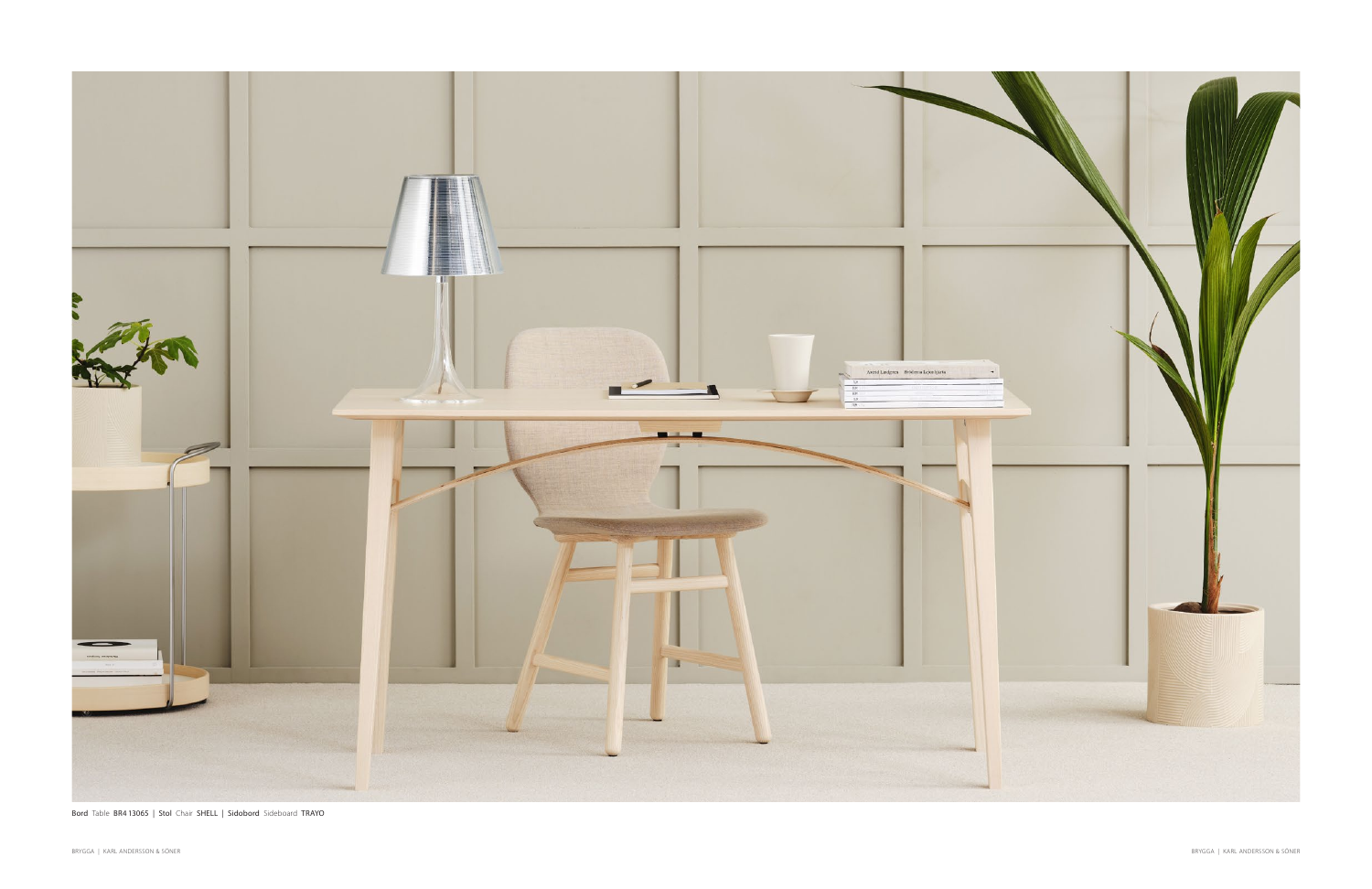

Bord Table BR4 13065 | Stol Chair SHELL | Sidobord Sideboard TRAYO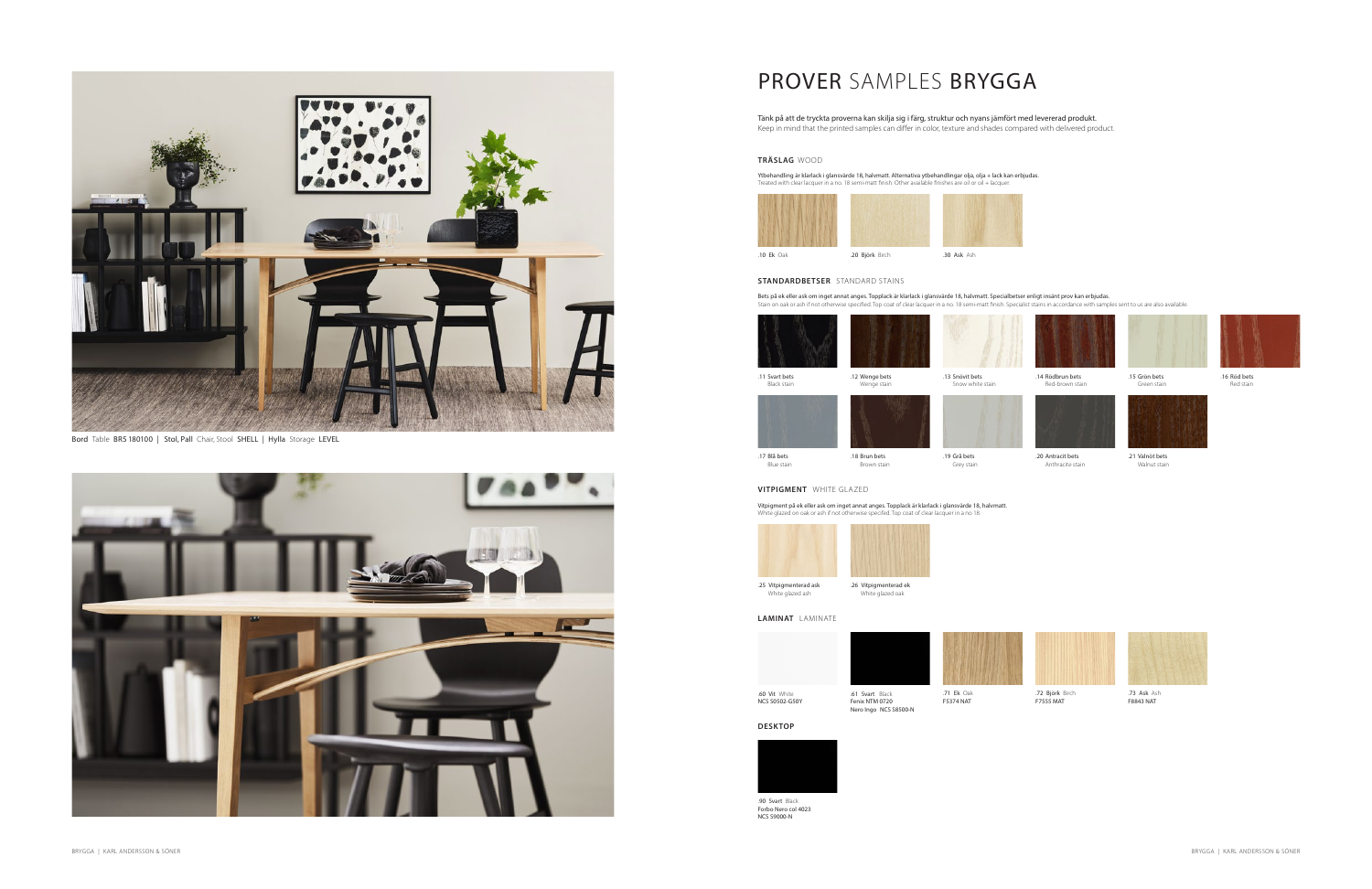

Bord Table BR5 180100 | Stol, Pall Chair, Stool SHELL | Hylla Storage LEVEL



# PROVER SAMPLES BRYGGA

Tänk på att de tryckta proverna kan skilja sig i färg, struktur och nyans jämfört med levererad produkt. Keep in mind that the printed samples can differ in color, texture and shades compared with delivered product.

#### **TRÄSLAG** WOOD

Ytbehandling är klarlack i glansvärde 18, halvmatt. Alternativa ytbehandlingar olja, olja + lack kan erbjudas. Treated with clear lacquer in a no. 18 semi-matt finish. Other available finishes are oil or oil + lacquer.



### **STANDARDBETSER** STANDARD STAINS

Bets på ek eller ask om inget annat anges. Topplack är klarlack i glansvärde 18, halvmatt. Specialbetser enligt insänt prov kan erbjudas.<br>Stain on oak or ash if not otherwise specified. Top coat of clear lacquer in a no. 1



.14 Rödbrun bets Red-brown stain



Green stain

.16 Röd bets Red stain

.18 Brun bets Brown stain .19 Grå bets Grey stain



.20 Antracit bets Anthracite stain

.17 Blå bets Blue stain





### **VITPIGMENT** WHITE GLAZED

Vitpigment på ek eller ask om inget annat anges. Topplack är klarlack i glansvärde 18, halvmatt. White glazed on oak or ash if not otherwise specifed. Top coat of clear lacquer in a no 18.



White glazed ash

White glazed oak

.60 Vit White



.71 Ek Oak





NCS S0502-G50Y **DESKTOP**



.72 Björk Birch F7555 MAT



.73 Ask Ash F8843 NAT

**LAMINAT** LAMINATE



.21 Valnöt bets Walnut stain



.90 Svart Black Forbo Nero col 4023 NCS S9000-N